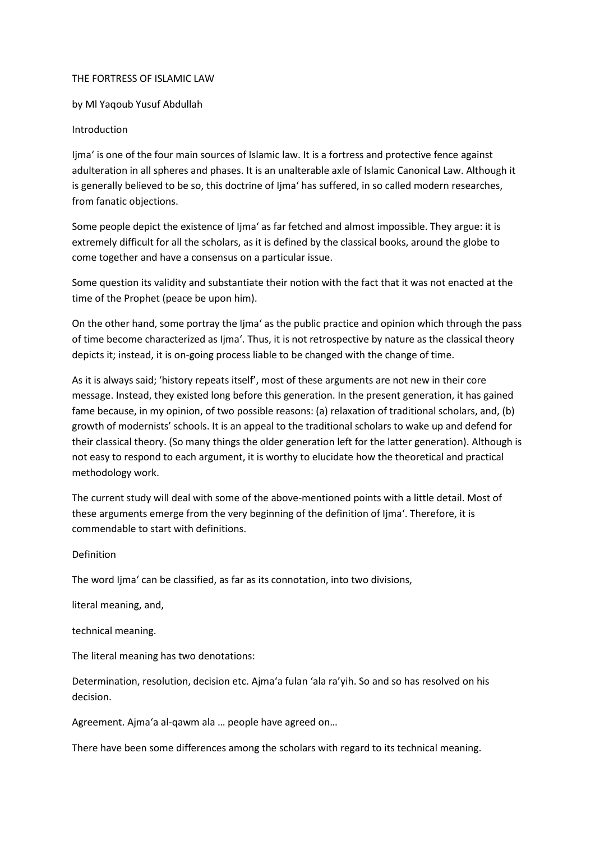## THE FORTRESS OF ISLAMIC LAW

by Ml Yaqoub Yusuf Abdullah

## Introduction

Ijma' is one of the four main sources of Islamic law. It is a fortress and protective fence against adulteration in all spheres and phases. It is an unalterable axle of Islamic Canonical Law. Although it is generally believed to be so, this doctrine of Ijma' has suffered, in so called modern researches, from fanatic objections.

Some people depict the existence of Ijma' as far fetched and almost impossible. They argue: it is extremely difficult for all the scholars, as it is defined by the classical books, around the globe to come together and have a consensus on a particular issue.

Some question its validity and substantiate their notion with the fact that it was not enacted at the time of the Prophet (peace be upon him).

On the other hand, some portray the Ijma' as the public practice and opinion which through the pass of time become characterized as Ijma'. Thus, it is not retrospective by nature as the classical theory depicts it; instead, it is on-going process liable to be changed with the change of time.

As it is always said; 'history repeats itself', most of these arguments are not new in their core message. Instead, they existed long before this generation. In the present generation, it has gained fame because, in my opinion, of two possible reasons: (a) relaxation of traditional scholars, and, (b) growth of modernists' schools. It is an appeal to the traditional scholars to wake up and defend for their classical theory. (So many things the older generation left for the latter generation). Although is not easy to respond to each argument, it is worthy to elucidate how the theoretical and practical methodology work.

The current study will deal with some of the above-mentioned points with a little detail. Most of these arguments emerge from the very beginning of the definition of Ijma'. Therefore, it is commendable to start with definitions.

## Definition

The word Ijma' can be classified, as far as its connotation, into two divisions,

literal meaning, and,

technical meaning.

The literal meaning has two denotations:

Determination, resolution, decision etc. Ajma'a fulan 'ala ra'yih. So and so has resolved on his decision.

Agreement. Ajma'a al-qawm ala … people have agreed on…

There have been some differences among the scholars with regard to its technical meaning.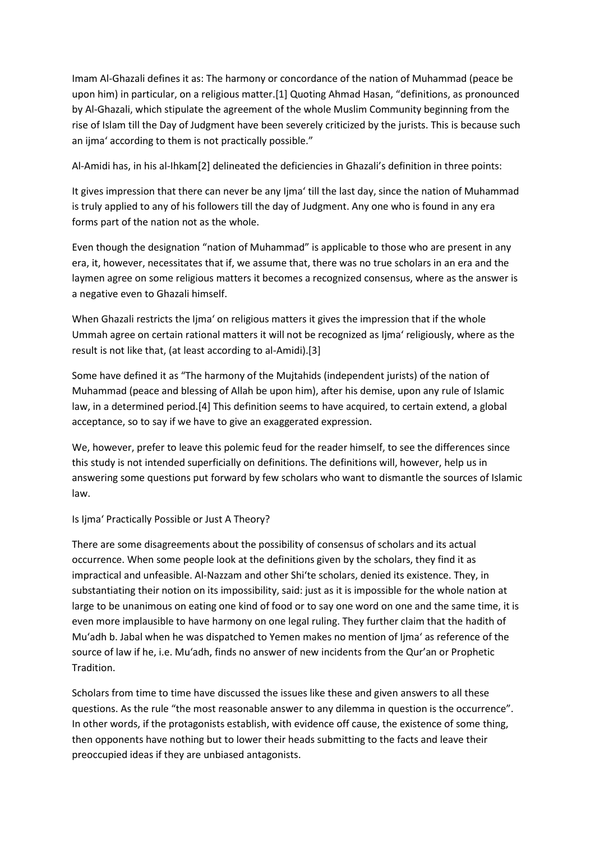Imam Al-Ghazali defines it as: The harmony or concordance of the nation of Muhammad (peace be upon him) in particular, on a religious matter.[1] Quoting Ahmad Hasan, "definitions, as pronounced by Al-Ghazali, which stipulate the agreement of the whole Muslim Community beginning from the rise of Islam till the Day of Judgment have been severely criticized by the jurists. This is because such an ijma' according to them is not practically possible."

Al-Amidi has, in his al-Ihkam[2] delineated the deficiencies in Ghazali's definition in three points:

It gives impression that there can never be any Ijma' till the last day, since the nation of Muhammad is truly applied to any of his followers till the day of Judgment. Any one who is found in any era forms part of the nation not as the whole.

Even though the designation "nation of Muhammad" is applicable to those who are present in any era, it, however, necessitates that if, we assume that, there was no true scholars in an era and the laymen agree on some religious matters it becomes a recognized consensus, where as the answer is a negative even to Ghazali himself.

When Ghazali restricts the Ijma' on religious matters it gives the impression that if the whole Ummah agree on certain rational matters it will not be recognized as Ijma' religiously, where as the result is not like that, (at least according to al-Amidi).[3]

Some have defined it as "The harmony of the Mujtahids (independent jurists) of the nation of Muhammad (peace and blessing of Allah be upon him), after his demise, upon any rule of Islamic law, in a determined period.[4] This definition seems to have acquired, to certain extend, a global acceptance, so to say if we have to give an exaggerated expression.

We, however, prefer to leave this polemic feud for the reader himself, to see the differences since this study is not intended superficially on definitions. The definitions will, however, help us in answering some questions put forward by few scholars who want to dismantle the sources of Islamic law.

Is Ijma' Practically Possible or Just A Theory?

There are some disagreements about the possibility of consensus of scholars and its actual occurrence. When some people look at the definitions given by the scholars, they find it as impractical and unfeasible. Al-Nazzam and other Shi'te scholars, denied its existence. They, in substantiating their notion on its impossibility, said: just as it is impossible for the whole nation at large to be unanimous on eating one kind of food or to say one word on one and the same time, it is even more implausible to have harmony on one legal ruling. They further claim that the hadith of Mu'adh b. Jabal when he was dispatched to Yemen makes no mention of Ijma' as reference of the source of law if he, i.e. Mu'adh, finds no answer of new incidents from the Qur'an or Prophetic Tradition.

Scholars from time to time have discussed the issues like these and given answers to all these questions. As the rule "the most reasonable answer to any dilemma in question is the occurrence". In other words, if the protagonists establish, with evidence off cause, the existence of some thing, then opponents have nothing but to lower their heads submitting to the facts and leave their preoccupied ideas if they are unbiased antagonists.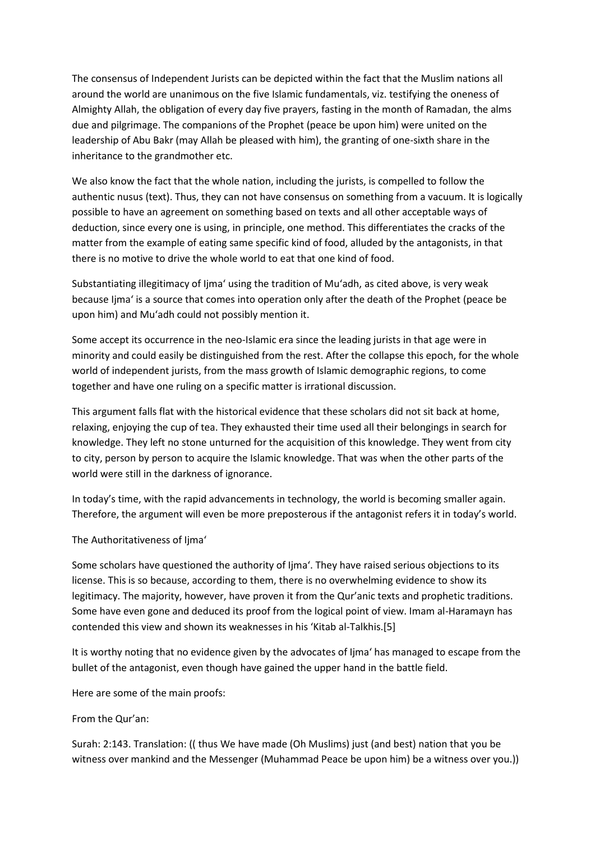The consensus of Independent Jurists can be depicted within the fact that the Muslim nations all around the world are unanimous on the five Islamic fundamentals, viz. testifying the oneness of Almighty Allah, the obligation of every day five prayers, fasting in the month of Ramadan, the alms due and pilgrimage. The companions of the Prophet (peace be upon him) were united on the leadership of Abu Bakr (may Allah be pleased with him), the granting of one-sixth share in the inheritance to the grandmother etc.

We also know the fact that the whole nation, including the jurists, is compelled to follow the authentic nusus (text). Thus, they can not have consensus on something from a vacuum. It is logically possible to have an agreement on something based on texts and all other acceptable ways of deduction, since every one is using, in principle, one method. This differentiates the cracks of the matter from the example of eating same specific kind of food, alluded by the antagonists, in that there is no motive to drive the whole world to eat that one kind of food.

Substantiating illegitimacy of Ijma' using the tradition of Mu'adh, as cited above, is very weak because Ijma' is a source that comes into operation only after the death of the Prophet (peace be upon him) and Mu'adh could not possibly mention it.

Some accept its occurrence in the neo-Islamic era since the leading jurists in that age were in minority and could easily be distinguished from the rest. After the collapse this epoch, for the whole world of independent jurists, from the mass growth of Islamic demographic regions, to come together and have one ruling on a specific matter is irrational discussion.

This argument falls flat with the historical evidence that these scholars did not sit back at home, relaxing, enjoying the cup of tea. They exhausted their time used all their belongings in search for knowledge. They left no stone unturned for the acquisition of this knowledge. They went from city to city, person by person to acquire the Islamic knowledge. That was when the other parts of the world were still in the darkness of ignorance.

In today's time, with the rapid advancements in technology, the world is becoming smaller again. Therefore, the argument will even be more preposterous if the antagonist refers it in today's world.

The Authoritativeness of Ijma'

Some scholars have questioned the authority of Ijma'. They have raised serious objections to its license. This is so because, according to them, there is no overwhelming evidence to show its legitimacy. The majority, however, have proven it from the Qur'anic texts and prophetic traditions. Some have even gone and deduced its proof from the logical point of view. Imam al-Haramayn has contended this view and shown its weaknesses in his 'Kitab al-Talkhis.[5]

It is worthy noting that no evidence given by the advocates of Ijma' has managed to escape from the bullet of the antagonist, even though have gained the upper hand in the battle field.

Here are some of the main proofs:

From the Qur'an:

Surah: 2:143. Translation: (( thus We have made (Oh Muslims) just (and best) nation that you be witness over mankind and the Messenger (Muhammad Peace be upon him) be a witness over you.))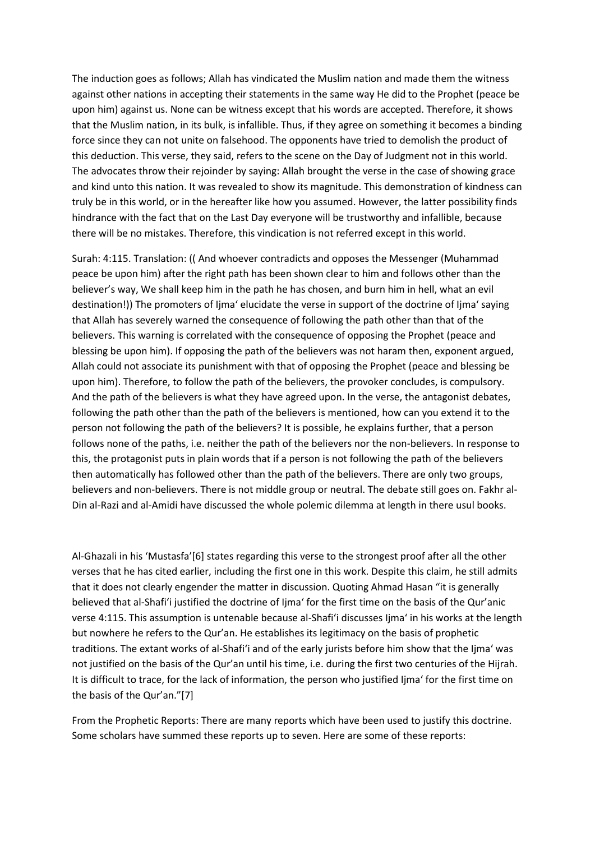The induction goes as follows; Allah has vindicated the Muslim nation and made them the witness against other nations in accepting their statements in the same way He did to the Prophet (peace be upon him) against us. None can be witness except that his words are accepted. Therefore, it shows that the Muslim nation, in its bulk, is infallible. Thus, if they agree on something it becomes a binding force since they can not unite on falsehood. The opponents have tried to demolish the product of this deduction. This verse, they said, refers to the scene on the Day of Judgment not in this world. The advocates throw their rejoinder by saying: Allah brought the verse in the case of showing grace and kind unto this nation. It was revealed to show its magnitude. This demonstration of kindness can truly be in this world, or in the hereafter like how you assumed. However, the latter possibility finds hindrance with the fact that on the Last Day everyone will be trustworthy and infallible, because there will be no mistakes. Therefore, this vindication is not referred except in this world.

Surah: 4:115. Translation: (( And whoever contradicts and opposes the Messenger (Muhammad peace be upon him) after the right path has been shown clear to him and follows other than the believer's way, We shall keep him in the path he has chosen, and burn him in hell, what an evil destination!)) The promoters of Ijma' elucidate the verse in support of the doctrine of Ijma' saying that Allah has severely warned the consequence of following the path other than that of the believers. This warning is correlated with the consequence of opposing the Prophet (peace and blessing be upon him). If opposing the path of the believers was not haram then, exponent argued, Allah could not associate its punishment with that of opposing the Prophet (peace and blessing be upon him). Therefore, to follow the path of the believers, the provoker concludes, is compulsory. And the path of the believers is what they have agreed upon. In the verse, the antagonist debates, following the path other than the path of the believers is mentioned, how can you extend it to the person not following the path of the believers? It is possible, he explains further, that a person follows none of the paths, i.e. neither the path of the believers nor the non-believers. In response to this, the protagonist puts in plain words that if a person is not following the path of the believers then automatically has followed other than the path of the believers. There are only two groups, believers and non-believers. There is not middle group or neutral. The debate still goes on. Fakhr al-Din al-Razi and al-Amidi have discussed the whole polemic dilemma at length in there usul books.

Al-Ghazali in his 'Mustasfa'[6] states regarding this verse to the strongest proof after all the other verses that he has cited earlier, including the first one in this work. Despite this claim, he still admits that it does not clearly engender the matter in discussion. Quoting Ahmad Hasan "it is generally believed that al-Shafi'i justified the doctrine of Ijma' for the first time on the basis of the Qur'anic verse 4:115. This assumption is untenable because al-Shafi'i discusses Ijma' in his works at the length but nowhere he refers to the Qur'an. He establishes its legitimacy on the basis of prophetic traditions. The extant works of al-Shafi'i and of the early jurists before him show that the Ijma' was not justified on the basis of the Qur'an until his time, i.e. during the first two centuries of the Hijrah. It is difficult to trace, for the lack of information, the person who justified Ijma' for the first time on the basis of the Qur'an."[7]

From the Prophetic Reports: There are many reports which have been used to justify this doctrine. Some scholars have summed these reports up to seven. Here are some of these reports: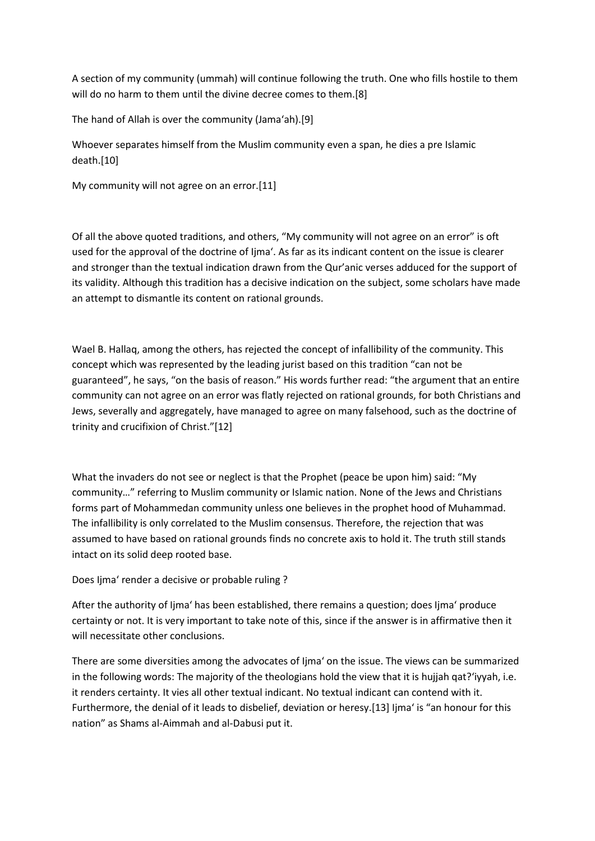A section of my community (ummah) will continue following the truth. One who fills hostile to them will do no harm to them until the divine decree comes to them.[8]

The hand of Allah is over the community (Jama'ah).[9]

Whoever separates himself from the Muslim community even a span, he dies a pre Islamic death.[10]

My community will not agree on an error.[11]

Of all the above quoted traditions, and others, "My community will not agree on an error" is oft used for the approval of the doctrine of Ijma'. As far as its indicant content on the issue is clearer and stronger than the textual indication drawn from the Qur'anic verses adduced for the support of its validity. Although this tradition has a decisive indication on the subject, some scholars have made an attempt to dismantle its content on rational grounds.

Wael B. Hallaq, among the others, has rejected the concept of infallibility of the community. This concept which was represented by the leading jurist based on this tradition "can not be guaranteed", he says, "on the basis of reason." His words further read: "the argument that an entire community can not agree on an error was flatly rejected on rational grounds, for both Christians and Jews, severally and aggregately, have managed to agree on many falsehood, such as the doctrine of trinity and crucifixion of Christ."[12]

What the invaders do not see or neglect is that the Prophet (peace be upon him) said: "My community…" referring to Muslim community or Islamic nation. None of the Jews and Christians forms part of Mohammedan community unless one believes in the prophet hood of Muhammad. The infallibility is only correlated to the Muslim consensus. Therefore, the rejection that was assumed to have based on rational grounds finds no concrete axis to hold it. The truth still stands intact on its solid deep rooted base.

Does Ijma' render a decisive or probable ruling ?

After the authority of Ijma' has been established, there remains a question; does Ijma' produce certainty or not. It is very important to take note of this, since if the answer is in affirmative then it will necessitate other conclusions.

There are some diversities among the advocates of Ijma' on the issue. The views can be summarized in the following words: The majority of the theologians hold the view that it is hujjah qat?'iyyah, i.e. it renders certainty. It vies all other textual indicant. No textual indicant can contend with it. Furthermore, the denial of it leads to disbelief, deviation or heresy.[13] Ijma' is "an honour for this nation" as Shams al-Aimmah and al-Dabusi put it.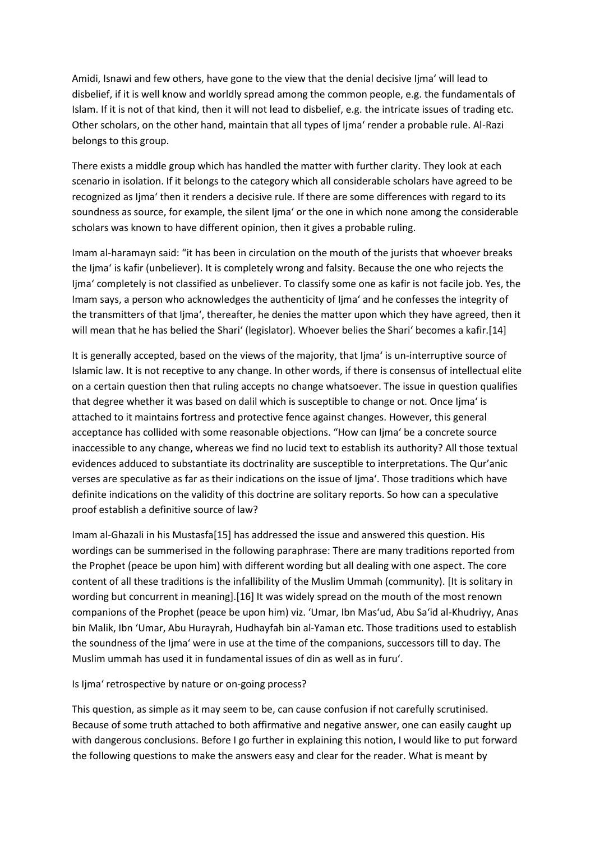Amidi, Isnawi and few others, have gone to the view that the denial decisive Ijma' will lead to disbelief, if it is well know and worldly spread among the common people, e.g. the fundamentals of Islam. If it is not of that kind, then it will not lead to disbelief, e.g. the intricate issues of trading etc. Other scholars, on the other hand, maintain that all types of Ijma' render a probable rule. Al-Razi belongs to this group.

There exists a middle group which has handled the matter with further clarity. They look at each scenario in isolation. If it belongs to the category which all considerable scholars have agreed to be recognized as Ijma' then it renders a decisive rule. If there are some differences with regard to its soundness as source, for example, the silent Ijma' or the one in which none among the considerable scholars was known to have different opinion, then it gives a probable ruling.

Imam al-haramayn said: "it has been in circulation on the mouth of the jurists that whoever breaks the Ijma' is kafir (unbeliever). It is completely wrong and falsity. Because the one who rejects the Ijma' completely is not classified as unbeliever. To classify some one as kafir is not facile job. Yes, the Imam says, a person who acknowledges the authenticity of Ijma' and he confesses the integrity of the transmitters of that Ijma', thereafter, he denies the matter upon which they have agreed, then it will mean that he has belied the Shari' (legislator). Whoever belies the Shari' becomes a kafir.[14]

It is generally accepted, based on the views of the majority, that Ijma' is un-interruptive source of Islamic law. It is not receptive to any change. In other words, if there is consensus of intellectual elite on a certain question then that ruling accepts no change whatsoever. The issue in question qualifies that degree whether it was based on dalil which is susceptible to change or not. Once Ijma' is attached to it maintains fortress and protective fence against changes. However, this general acceptance has collided with some reasonable objections. "How can Ijma' be a concrete source inaccessible to any change, whereas we find no lucid text to establish its authority? All those textual evidences adduced to substantiate its doctrinality are susceptible to interpretations. The Qur'anic verses are speculative as far as their indications on the issue of Ijma'. Those traditions which have definite indications on the validity of this doctrine are solitary reports. So how can a speculative proof establish a definitive source of law?

Imam al-Ghazali in his Mustasfa[15] has addressed the issue and answered this question. His wordings can be summerised in the following paraphrase: There are many traditions reported from the Prophet (peace be upon him) with different wording but all dealing with one aspect. The core content of all these traditions is the infallibility of the Muslim Ummah (community). [It is solitary in wording but concurrent in meaning].[16] It was widely spread on the mouth of the most renown companions of the Prophet (peace be upon him) viz. 'Umar, Ibn Mas'ud, Abu Sa'id al-Khudriyy, Anas bin Malik, Ibn 'Umar, Abu Hurayrah, Hudhayfah bin al-Yaman etc. Those traditions used to establish the soundness of the Ijma' were in use at the time of the companions, successors till to day. The Muslim ummah has used it in fundamental issues of din as well as in furu'.

Is lima' retrospective by nature or on-going process?

This question, as simple as it may seem to be, can cause confusion if not carefully scrutinised. Because of some truth attached to both affirmative and negative answer, one can easily caught up with dangerous conclusions. Before I go further in explaining this notion, I would like to put forward the following questions to make the answers easy and clear for the reader. What is meant by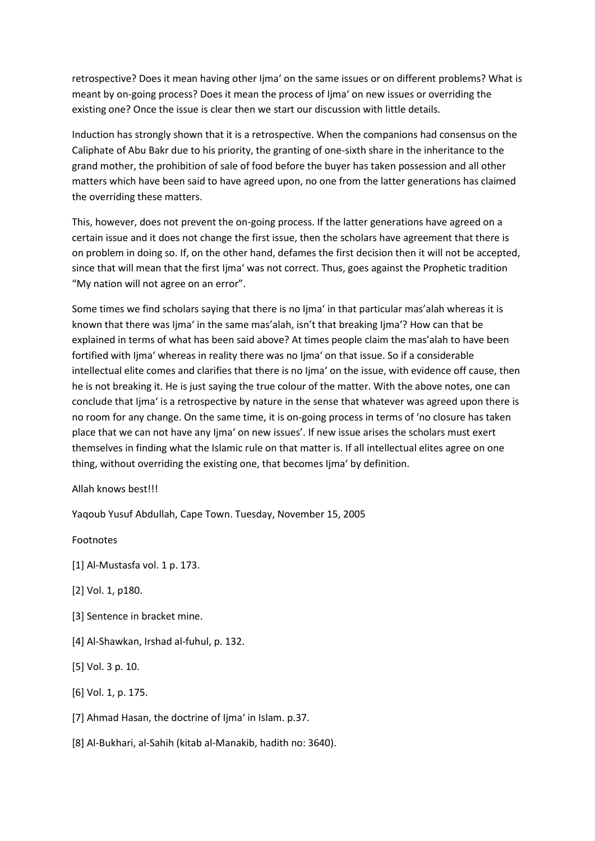retrospective? Does it mean having other Ijma' on the same issues or on different problems? What is meant by on-going process? Does it mean the process of Ijma' on new issues or overriding the existing one? Once the issue is clear then we start our discussion with little details.

Induction has strongly shown that it is a retrospective. When the companions had consensus on the Caliphate of Abu Bakr due to his priority, the granting of one-sixth share in the inheritance to the grand mother, the prohibition of sale of food before the buyer has taken possession and all other matters which have been said to have agreed upon, no one from the latter generations has claimed the overriding these matters.

This, however, does not prevent the on-going process. If the latter generations have agreed on a certain issue and it does not change the first issue, then the scholars have agreement that there is on problem in doing so. If, on the other hand, defames the first decision then it will not be accepted, since that will mean that the first Ijma' was not correct. Thus, goes against the Prophetic tradition "My nation will not agree on an error".

Some times we find scholars saying that there is no Ijma' in that particular mas'alah whereas it is known that there was Ijma' in the same mas'alah, isn't that breaking Ijma'? How can that be explained in terms of what has been said above? At times people claim the mas'alah to have been fortified with Ijma' whereas in reality there was no Ijma' on that issue. So if a considerable intellectual elite comes and clarifies that there is no Ijma' on the issue, with evidence off cause, then he is not breaking it. He is just saying the true colour of the matter. With the above notes, one can conclude that Ijma' is a retrospective by nature in the sense that whatever was agreed upon there is no room for any change. On the same time, it is on-going process in terms of 'no closure has taken place that we can not have any Ijma' on new issues'. If new issue arises the scholars must exert themselves in finding what the Islamic rule on that matter is. If all intellectual elites agree on one thing, without overriding the existing one, that becomes Ijma' by definition.

Allah knows best!!!

Yaqoub Yusuf Abdullah, Cape Town. Tuesday, November 15, 2005

Footnotes

- [1] Al-Mustasfa vol. 1 p. 173.
- [2] Vol. 1, p180.
- [3] Sentence in bracket mine.
- [4] Al-Shawkan, Irshad al-fuhul, p. 132.
- [5] Vol. 3 p. 10.
- [6] Vol. 1, p. 175.
- [7] Ahmad Hasan, the doctrine of Ijma' in Islam. p.37.
- [8] Al-Bukhari, al-Sahih (kitab al-Manakib, hadith no: 3640).